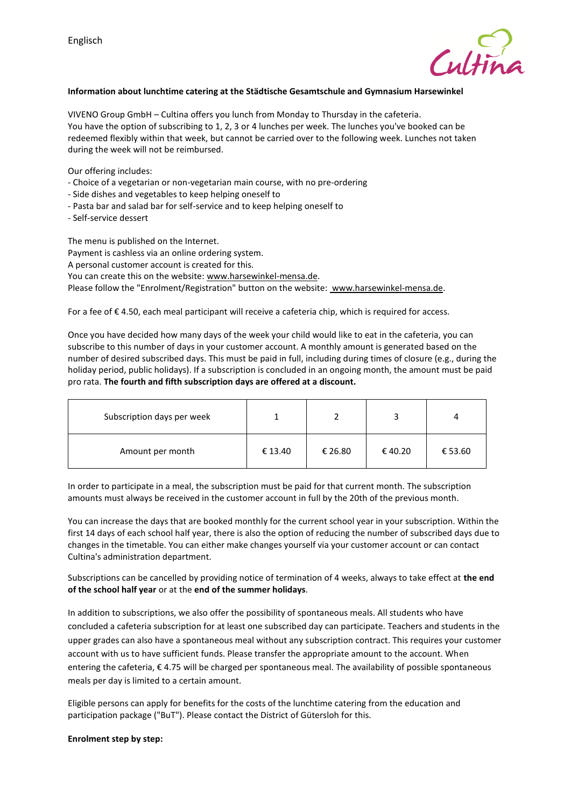

## **Information about lunchtime catering at the Städtische Gesamtschule and Gymnasium Harsewinkel**

VIVENO Group GmbH – Cultina offers you lunch from Monday to Thursday in the cafeteria. You have the option of subscribing to 1, 2, 3 or 4 lunches per week. The lunches you've booked can be redeemed flexibly within that week, but cannot be carried over to the following week. Lunches not taken during the week will not be reimbursed.

Our offering includes:

- Choice of a vegetarian or non-vegetarian main course, with no pre-ordering
- Side dishes and vegetables to keep helping oneself to
- Pasta bar and salad bar for self-service and to keep helping oneself to
- Self-service dessert

The menu is published on the Internet.

Payment is cashless via an online ordering system.

A personal customer account is created for this.

You can create this on the website: www.harsewinkel-mensa.de.

Please follow the "Enrolment/Registration" button on the website: www.harsewinkel-mensa.de.

For a fee of € 4.50, each meal participant will receive a cafeteria chip, which is required for access.

Once you have decided how many days of the week your child would like to eat in the cafeteria, you can subscribe to this number of days in your customer account. A monthly amount is generated based on the number of desired subscribed days. This must be paid in full, including during times of closure (e.g., during the holiday period, public holidays). If a subscription is concluded in an ongoing month, the amount must be paid pro rata. **The fourth and fifth subscription days are offered at a discount.**

| Subscription days per week |         |         |        |         |
|----------------------------|---------|---------|--------|---------|
| Amount per month           | € 13.40 | € 26.80 | €40.20 | € 53.60 |

In order to participate in a meal, the subscription must be paid for that current month. The subscription amounts must always be received in the customer account in full by the 20th of the previous month.

You can increase the days that are booked monthly for the current school year in your subscription. Within the first 14 days of each school half year, there is also the option of reducing the number of subscribed days due to changes in the timetable. You can either make changes yourself via your customer account or can contact Cultina's administration department.

Subscriptions can be cancelled by providing notice of termination of 4 weeks, always to take effect at **the end of the school half year** or at the **end of the summer holidays**.

In addition to subscriptions, we also offer the possibility of spontaneous meals. All students who have concluded a cafeteria subscription for at least one subscribed day can participate. Teachers and students in the upper grades can also have a spontaneous meal without any subscription contract. This requires your customer account with us to have sufficient funds. Please transfer the appropriate amount to the account. When entering the cafeteria, € 4.75 will be charged per spontaneous meal. The availability of possible spontaneous meals per day is limited to a certain amount.

Eligible persons can apply for benefits for the costs of the lunchtime catering from the education and participation package ("BuT"). Please contact the District of Gütersloh for this.

#### **Enrolment step by step:**